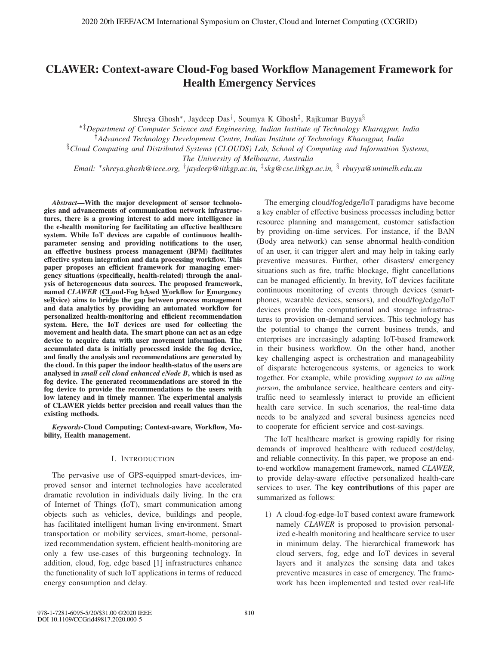# CLAWER: Context-aware Cloud-Fog based Workflow Management Framework for Health Emergency Services

Shreya Ghosh∗, Jaydeep Das†, Soumya K Ghosh‡, Rajkumar Buyya§

∗‡*Department of Computer Science and Engineering, Indian Institute of Technology Kharagpur, India*

†*Advanced Technology Development Centre, Indian Institute of Technology Kharagpur, India*

§*Cloud Computing and Distributed Systems (CLOUDS) Lab, School of Computing and Information Systems,*

*The University of Melbourne, Australia*

*Email:* ∗*shreya.ghosh@ieee.org,* †*jaydeep@iitkgp.ac.in,* ‡*skg@cse.iitkgp.ac.in,* § *rbuyya@unimelb.edu.au*

*Abstract*—With the major development of sensor technologies and advancements of communication network infrastructures, there is a growing interest to add more intelligence in the e-health monitoring for facilitating an effective healthcare system. While IoT devices are capable of continuous healthparameter sensing and providing notifications to the user, an effective business process management (BPM) facilitates effective system integration and data processing workflow. This paper proposes an efficient framework for managing emergency situations (specifically, health-related) through the analysis of heterogeneous data sources. The proposed framework, named *CLAWER* (CLoud-Fog bAsed Workflow for Emergency  $seRvice)$  aims to bridge the gap between process management and data analytics by providing an automated workflow for personalized health-monitoring and efficient recommendation system. Here, the IoT devices are used for collecting the movement and health data. The smart phone can act as an edge device to acquire data with user movement information. The accumulated data is initially processed inside the fog device, and finally the analysis and recommendations are generated by the cloud. In this paper the indoor health-status of the users are analysed in *small cell cloud enhanced eNode B*, which is used as fog device. The generated recommendations are stored in the fog device to provide the recommendations to the users with low latency and in timely manner. The experimental analysis of CLAWER yields better precision and recall values than the existing methods.

*Keywords*-Cloud Computing; Context-aware, Workflow, Mobility, Health management.

#### I. INTRODUCTION

The pervasive use of GPS-equipped smart-devices, improved sensor and internet technologies have accelerated dramatic revolution in individuals daily living. In the era of Internet of Things (IoT), smart communication among objects such as vehicles, device, buildings and people, has facilitated intelligent human living environment. Smart transportation or mobility services, smart-home, personalized recommendation system, efficient health-monitoring are only a few use-cases of this burgeoning technology. In addition, cloud, fog, edge based [1] infrastructures enhance the functionality of such IoT applications in terms of reduced energy consumption and delay.

The emerging cloud/fog/edge/IoT paradigms have become a key enabler of effective business processes including better resource planning and management, customer satisfaction by providing on-time services. For instance, if the BAN (Body area network) can sense abnormal health-condition of an user, it can trigger alert and may help in taking early preventive measures. Further, other disasters/ emergency situations such as fire, traffic blockage, flight cancellations can be managed efficiently. In brevity, IoT devices facilitate continuous monitoring of events through devices (smartphones, wearable devices, sensors), and cloud/fog/edge/IoT devices provide the computational and storage infrastructures to provision on-demand services. This technology has the potential to change the current business trends, and enterprises are increasingly adapting IoT-based framework in their business workflow. On the other hand, another key challenging aspect is orchestration and manageability of disparate heterogeneous systems, or agencies to work together. For example, while providing *support to an ailing person*, the ambulance service, healthcare centers and citytraffic need to seamlessly interact to provide an efficient health care service. In such scenarios, the real-time data needs to be analyzed and several business agencies need to cooperate for efficient service and cost-savings.

The IoT healthcare market is growing rapidly for rising demands of improved healthcare with reduced cost/delay, and reliable connectivity. In this paper, we propose an endto-end workflow management framework, named *CLAWER*, to provide delay-aware effective personalized health-care services to user. The key contributions of this paper are summarized as follows:

1) A cloud-fog-edge-IoT based context aware framework namely *CLAWER* is proposed to provision personalized e-health monitoring and healthcare service to user in minimum delay. The hierarchical framework has cloud servers, fog, edge and IoT devices in several layers and it analyzes the sensing data and takes preventive measures in case of emergency. The framework has been implemented and tested over real-life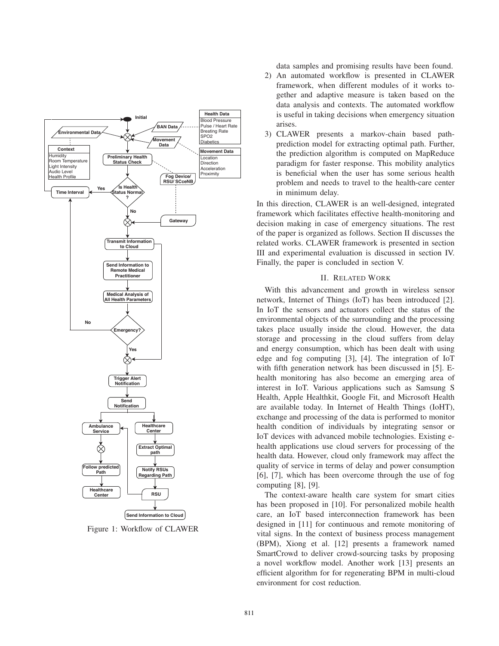

Figure 1: Workflow of CLAWER

data samples and promising results have been found.

- 2) An automated workflow is presented in CLAWER framework, when different modules of it works together and adaptive measure is taken based on the data analysis and contexts. The automated workflow is useful in taking decisions when emergency situation arises.
- 3) CLAWER presents a markov-chain based pathprediction model for extracting optimal path. Further, the prediction algorithm is computed on MapReduce paradigm for faster response. This mobility analytics is beneficial when the user has some serious health problem and needs to travel to the health-care center in minimum delay.

In this direction, CLAWER is an well-designed, integrated framework which facilitates effective health-monitoring and decision making in case of emergency situations. The rest of the paper is organized as follows. Section II discusses the related works. CLAWER framework is presented in section III and experimental evaluation is discussed in section IV. Finally, the paper is concluded in section V.

#### II. RELATED WORK

With this advancement and growth in wireless sensor network, Internet of Things (IoT) has been introduced [2]. In IoT the sensors and actuators collect the status of the environmental objects of the surrounding and the processing takes place usually inside the cloud. However, the data storage and processing in the cloud suffers from delay and energy consumption, which has been dealt with using edge and fog computing [3], [4]. The integration of IoT with fifth generation network has been discussed in [5]. Ehealth monitoring has also become an emerging area of interest in IoT. Various applications such as Samsung S Health, Apple Healthkit, Google Fit, and Microsoft Health are available today. In Internet of Health Things (IoHT), exchange and processing of the data is performed to monitor health condition of individuals by integrating sensor or IoT devices with advanced mobile technologies. Existing ehealth applications use cloud servers for processing of the health data. However, cloud only framework may affect the quality of service in terms of delay and power consumption [6], [7], which has been overcome through the use of fog computing [8], [9].

The context-aware health care system for smart cities has been proposed in [10]. For personalized mobile health care, an IoT based interconnection framework has been designed in [11] for continuous and remote monitoring of vital signs. In the context of business process management (BPM), Xiong et al. [12] presents a framework named SmartCrowd to deliver crowd-sourcing tasks by proposing a novel workflow model. Another work [13] presents an efficient algorithm for for regenerating BPM in multi-cloud environment for cost reduction.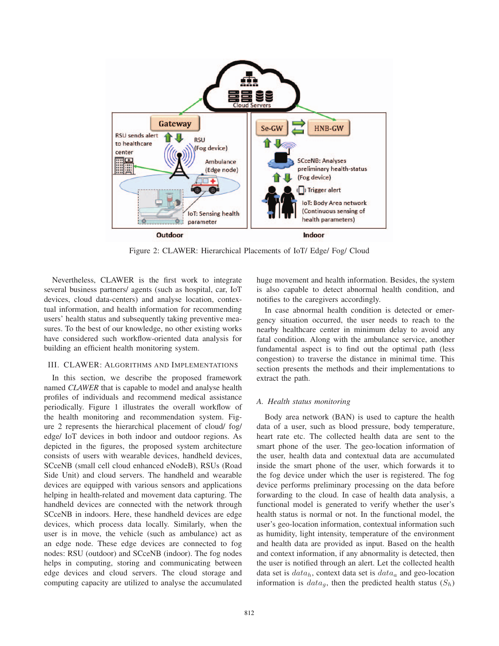

Figure 2: CLAWER: Hierarchical Placements of IoT/ Edge/ Fog/ Cloud

Nevertheless, CLAWER is the first work to integrate several business partners/ agents (such as hospital, car, IoT devices, cloud data-centers) and analyse location, contextual information, and health information for recommending users' health status and subsequently taking preventive measures. To the best of our knowledge, no other existing works have considered such workflow-oriented data analysis for building an efficient health monitoring system.

# III. CLAWER: ALGORITHMS AND IMPLEMENTATIONS

In this section, we describe the proposed framework named *CLAWER* that is capable to model and analyse health profiles of individuals and recommend medical assistance periodically. Figure 1 illustrates the overall workflow of the health monitoring and recommendation system. Figure 2 represents the hierarchical placement of cloud/ fog/ edge/ IoT devices in both indoor and outdoor regions. As depicted in the figures, the proposed system architecture consists of users with wearable devices, handheld devices, SCceNB (small cell cloud enhanced eNodeB), RSUs (Road Side Unit) and cloud servers. The handheld and wearable devices are equipped with various sensors and applications helping in health-related and movement data capturing. The handheld devices are connected with the network through SCceNB in indoors. Here, these handheld devices are edge devices, which process data locally. Similarly, when the user is in move, the vehicle (such as ambulance) act as an edge node. These edge devices are connected to fog nodes: RSU (outdoor) and SCceNB (indoor). The fog nodes helps in computing, storing and communicating between edge devices and cloud servers. The cloud storage and computing capacity are utilized to analyse the accumulated huge movement and health information. Besides, the system is also capable to detect abnormal health condition, and notifies to the caregivers accordingly.

In case abnormal health condition is detected or emergency situation occurred, the user needs to reach to the nearby healthcare center in minimum delay to avoid any fatal condition. Along with the ambulance service, another fundamental aspect is to find out the optimal path (less congestion) to traverse the distance in minimal time. This section presents the methods and their implementations to extract the path.

#### *A. Health status monitoring*

Body area network (BAN) is used to capture the health data of a user, such as blood pressure, body temperature, heart rate etc. The collected health data are sent to the smart phone of the user. The geo-location information of the user, health data and contextual data are accumulated inside the smart phone of the user, which forwards it to the fog device under which the user is registered. The fog device performs preliminary processing on the data before forwarding to the cloud. In case of health data analysis, a functional model is generated to verify whether the user's health status is normal or not. In the functional model, the user's geo-location information, contextual information such as humidity, light intensity, temperature of the environment and health data are provided as input. Based on the health and context information, if any abnormality is detected, then the user is notified through an alert. Let the collected health data set is  $data_h$ , context data set is  $data_a$  and geo-location information is  $data_g$ , then the predicted health status  $(S_h)$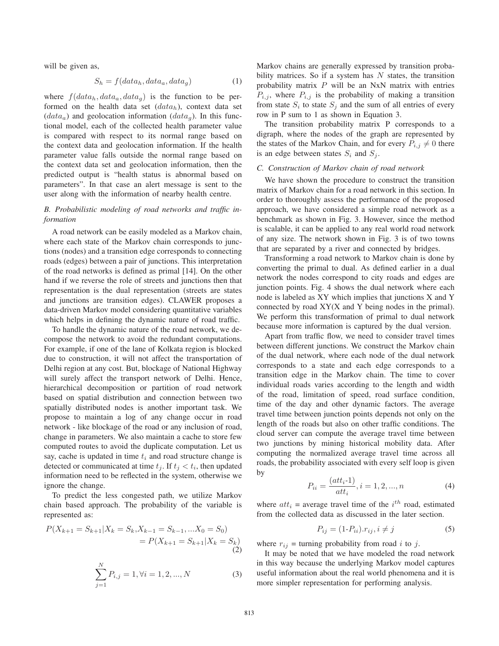will be given as,

$$
S_h = f(data_h, data_a, data_g) \tag{1}
$$

where  $f(data_h, data_a, data_g)$  is the function to be performed on the health data set  $(data_h)$ , context data set  $(data_a)$  and geolocation information  $(data_g)$ . In this functional model, each of the collected health parameter value is compared with respect to its normal range based on the context data and geolocation information. If the health parameter value falls outside the normal range based on the context data set and geolocation information, then the predicted output is "health status is abnormal based on parameters". In that case an alert message is sent to the user along with the information of nearby health centre.

# *B. Probabilistic modeling of road networks and traffic information*

A road network can be easily modeled as a Markov chain, where each state of the Markov chain corresponds to junctions (nodes) and a transition edge corresponds to connecting roads (edges) between a pair of junctions. This interpretation of the road networks is defined as primal [14]. On the other hand if we reverse the role of streets and junctions then that representation is the dual representation (streets are states and junctions are transition edges). CLAWER proposes a data-driven Markov model considering quantitative variables which helps in defining the dynamic nature of road traffic.

To handle the dynamic nature of the road network, we decompose the network to avoid the redundant computations. For example, if one of the lane of Kolkata region is blocked due to construction, it will not affect the transportation of Delhi region at any cost. But, blockage of National Highway will surely affect the transport network of Delhi. Hence, hierarchical decomposition or partition of road network based on spatial distribution and connection between two spatially distributed nodes is another important task. We propose to maintain a log of any change occur in road network - like blockage of the road or any inclusion of road, change in parameters. We also maintain a cache to store few computed routes to avoid the duplicate computation. Let us say, cache is updated in time  $t_i$  and road structure change is detected or communicated at time  $t_j$ . If  $t_j < t_i$ , then updated information need to be reflected in the system, otherwise we ignore the change.

To predict the less congested path, we utilize Markov chain based approach. The probability of the variable is represented as:

$$
P(X_{k+1} = S_{k+1} | X_k = S_k, X_{k-1} = S_{k-1}, \dots X_0 = S_0)
$$
  
=  $P(X_{k+1} = S_{k+1} | X_k = S_k)$   

$$
\sum_{j=1}^{N} P_{i,j} = 1, \forall i = 1, 2, ..., N
$$
 (3)

Markov chains are generally expressed by transition probability matrices. So if a system has  $N$  states, the transition probability matrix  $P$  will be an NxN matrix with entries  $P_{i,j}$ , where  $P_{i,j}$  is the probability of making a transition from state  $S_i$  to state  $S_j$  and the sum of all entries of every row in P sum to 1 as shown in Equation 3.

The transition probability matrix P corresponds to a digraph, where the nodes of the graph are represented by the states of the Markov Chain, and for every  $P_{i,j} \neq 0$  there is an edge between states  $S_i$  and  $S_j$ .

# *C. Construction of Markov chain of road network*

We have shown the procedure to construct the transition matrix of Markov chain for a road network in this section. In order to thoroughly assess the performance of the proposed approach, we have considered a simple road network as a benchmark as shown in Fig. 3. However, since the method is scalable, it can be applied to any real world road network of any size. The network shown in Fig. 3 is of two towns that are separated by a river and connected by bridges.

Transforming a road network to Markov chain is done by converting the primal to dual. As defined earlier in a dual network the nodes correspond to city roads and edges are junction points. Fig. 4 shows the dual network where each node is labeled as XY which implies that junctions X and Y connected by road XY(X and Y being nodes in the primal). We perform this transformation of primal to dual network because more information is captured by the dual version.

Apart from traffic flow, we need to consider travel times between different junctions. We construct the Markov chain of the dual network, where each node of the dual network corresponds to a state and each edge corresponds to a transition edge in the Markov chain. The time to cover individual roads varies according to the length and width of the road, limitation of speed, road surface condition, time of the day and other dynamic factors. The average travel time between junction points depends not only on the length of the roads but also on other traffic conditions. The cloud server can compute the average travel time between two junctions by mining historical mobility data. After computing the normalized average travel time across all roads, the probability associated with every self loop is given by

$$
P_{ii} = \frac{(att_i \cdot 1)}{att_i}, i = 1, 2, ..., n
$$
 (4)

where  $att_i$  = average travel time of the  $i^{th}$  road, estimated from the collected data as discussed in the later section.

$$
P_{ij} = (1 - P_{ii}) \cdot r_{ij}, i \neq j \tag{5}
$$

where  $r_{ij}$  = turning probability from road i to j.

It may be noted that we have modeled the road network in this way because the underlying Markov model captures useful information about the real world phenomena and it is more simpler representation for performing analysis.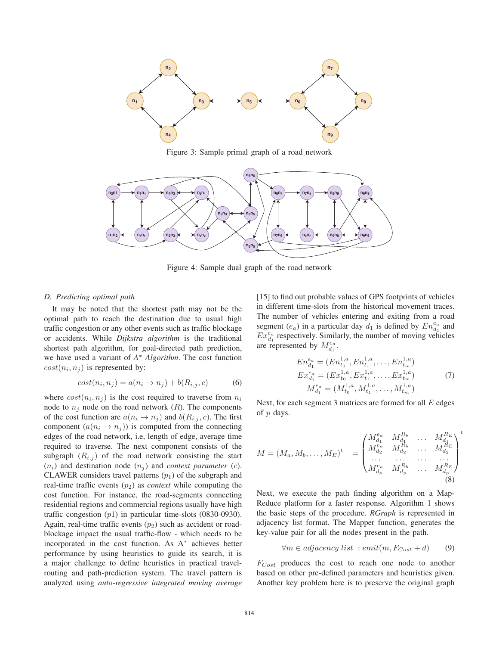

Figure 3: Sample primal graph of a road network



Figure 4: Sample dual graph of the road network

# *D. Predicting optimal path*

It may be noted that the shortest path may not be the optimal path to reach the destination due to usual high traffic congestion or any other events such as traffic blockage or accidents. While *Dijkstra algorithm* is the traditional shortest path algorithm, for goal-directed path prediction, we have used a variant of *A*<sup>∗</sup> *Algorithm*. The cost function  $cost(n_i, n_j)$  is represented by:

$$
cost(n_i, n_j) = a(n_i \rightarrow n_j) + b(R_{i,j}, c)
$$
 (6)

where  $cost(n_i, n_j)$  is the cost required to traverse from  $n_i$ node to  $n_j$  node on the road network  $(R)$ . The components of the cost function are  $a(n_i \rightarrow n_j)$  and  $b(R_{i,j}, c)$ . The first component  $(a(n_i \rightarrow n_j))$  is computed from the connecting edges of the road network, i.e, length of edge, average time required to traverse. The next component consists of the subgraph  $(R_{i,j})$  of the road network consisting the start  $(n_i)$  and destination node  $(n_i)$  and *context parameter* (*c*). CLAWER considers travel patterns  $(p_1)$  of the subgraph and real-time traffic events  $(p_2)$  as *context* while computing the cost function. For instance, the road-segments connecting residential regions and commercial regions usually have high traffic congestion  $(p1)$  in particular time-slots  $(0830-0930)$ . Again, real-time traffic events  $(p_2)$  such as accident or roadblockage impact the usual traffic-flow - which needs to be incorporated in the cost function. As A<sup>∗</sup> achieves better performance by using heuristics to guide its search, it is a major challenge to define heuristics in practical travelrouting and path-prediction system. The travel pattern is analyzed using *auto-regressive integrated moving average* [15] to find out probable values of GPS footprints of vehicles in different time-slots from the historical movement traces. The number of vehicles entering and exiting from a road segment  $(e_a)$  in a particular day  $d_1$  is defined by  $En_{d_1}^{e_a}$  and  $Ex_{d_1}^{e_a}$  respectively. Similarly, the number of moving vehicles are represented by  $M_{d_1}^{e_a}$ .

$$
En_{d_1}^{e_a} = (En_{t_0}^{1,a}, En_{t_1}^{1,a}, \dots, En_{t_m}^{1,a})
$$
  
\n
$$
Ex_{d_1}^{e_a} = (Ex_{t_0}^{1,a}, Ex_{t_1}^{1,a}, \dots, Ex_{t_m}^{1,a})
$$
  
\n
$$
M_{d_1}^{e_a} = (M_{t_0}^{1,a}, M_{t_1}^{1,a}, \dots, M_{t_m}^{1,a})
$$
\n(7)

Next, for each segment 3 matrices are formed for all  $E$  edges of  $p$  days.

$$
M = (M_a, M_b, \dots, M_E)^t = \begin{pmatrix} M_{d_1}^{e_a} & M_{d_1}^{R_b} & \dots & M_{d_1}^{R_E} \\ M_{d_2}^{e_a} & M_{d_2}^{R_b} & \dots & M_{d_E}^{R_E} \\ \dots & \dots & \dots & \dots \\ M_{d_p}^{e_a} & M_{d_p}^{R_b} & \dots & M_{d_p}^{R_E} \end{pmatrix}^t
$$
 (8)

Next, we execute the path finding algorithm on a Map-Reduce platform for a faster response. Algorithm 1 shows the basic steps of the procedure. *RGraph* is represented in adjacency list format. The Mapper function, generates the key-value pair for all the nodes present in the path.

$$
\forall m \in adjacency \; list \; : emit(m, F_{Cost} + d) \qquad (9)
$$

 $F_{Cost}$  produces the cost to reach one node to another based on other pre-defined parameters and heuristics given. Another key problem here is to preserve the original graph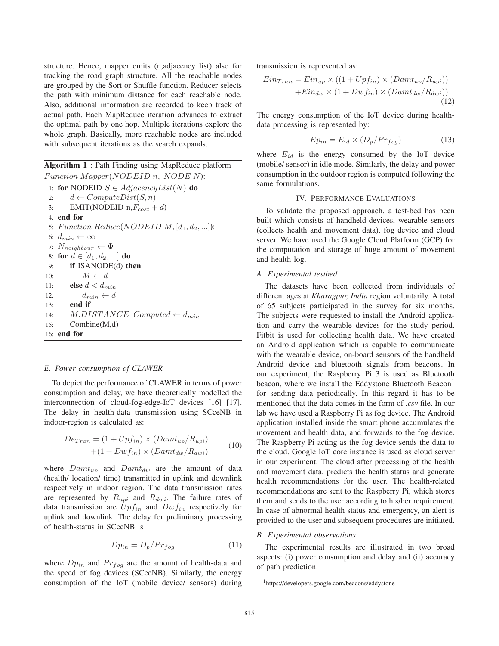structure. Hence, mapper emits (n,adjacency list) also for tracking the road graph structure. All the reachable nodes are grouped by the Sort or Shuffle function. Reducer selects the path with minimum distance for each reachable node. Also, additional information are recorded to keep track of actual path. Each MapReduce iteration advances to extract the optimal path by one hop. Multiple iterations explore the whole graph. Basically, more reachable nodes are included with subsequent iterations as the search expands.

Algorithm 1 : Path Finding using MapReduce platform

Function Mapper(NODEID n, NODE N): 1: **for** NODEID  $S \in AdjacencyList(N)$  **do**<br>2:  $d \leftarrow ComputeDist(S, n)$ 2:  $d \leftarrow ComputeDist(S, n)$ <br>3: **EMIT(NODEID** n, $F_{cost}$  + EMIT(NODEID  $n, F_{cost} + d$ ) 4: end for 5: Function Reduce(NODEID  $M$ ,  $[d_1, d_2, ...]$ ): 6:  $d_{min} \leftarrow \infty$ 7:  $N_{neighbor} \leftarrow \Phi$ <br>8: **for**  $d \in [d_1, d_2, ...]$ 8: for  $d \in [d_1, d_2, \ldots]$  do<br>9: if ISANODE(d) the if ISANODE(d) then 10:  $M \leftarrow d$ <br>11: **else**  $d < d_m$ **else**  $d < d_{min}$ 12:  $d_{min} \leftarrow d$ <br>13: **end if** end if 14:  $M.DISTANCE\_Computed \leftarrow d_{min}$ <br>15: Combine(M,d) Combine(M,d) 16: end for

#### *E. Power consumption of CLAWER*

To depict the performance of CLAWER in terms of power consumption and delay, we have theoretically modelled the interconnection of cloud-fog-edge-IoT devices [16] [17]. The delay in health-data transmission using SCceNB in indoor-region is calculated as:

$$
De_{Tran} = (1 + Upf_{in}) \times (Damt_{up}/R_{upi})
$$
  
+(1 + Dwf\_{in}) \times (Damt\_{dw}/R\_{dwi}) \t(10)

where  $Damt_{up}$  and  $Damt_{dw}$  are the amount of data (health/ location/ time) transmitted in uplink and downlink respectively in indoor region. The data transmission rates are represented by  $R_{upi}$  and  $R_{dwi}$ . The failure rates of data transmission are  $Upf_{in}$  and  $Dwf_{in}$  respectively for uplink and downlink. The delay for preliminary processing of health-status in SCceNB is

$$
Dp_{in} = D_p / Pr_{fog}
$$
 (11)

where  $Dp_{in}$  and  $Pr_{f \text{og}}$  are the amount of health-data and the speed of fog devices (SCceNB). Similarly, the energy consumption of the IoT (mobile device/ sensors) during transmission is represented as:

$$
Ein_{Tran} = Ein_{up} \times ((1 + Upf_{in}) \times (Damt_{up}/R_{upi}))
$$

$$
+ Ein_{dw} \times (1 + Dwf_{in}) \times (Damt_{dw}/R_{dwi}))
$$
(12)

The energy consumption of the IoT device during healthdata processing is represented by:

$$
Ep_{in} = E_{id} \times (D_p/Pr_{fog})
$$
 (13)

where  $E_{id}$  is the energy consumed by the IoT device (mobile/ sensor) in idle mode. Similarly, the delay and power consumption in the outdoor region is computed following the same formulations.

#### IV. PERFORMANCE EVALUATIONS

To validate the proposed approach, a test-bed has been built which consists of handheld-devices, wearable sensors (collects health and movement data), fog device and cloud server. We have used the Google Cloud Platform (GCP) for the computation and storage of huge amount of movement and health log.

# *A. Experimental testbed*

The datasets have been collected from individuals of different ages at *Kharagpur, India* region voluntarily. A total of 65 subjects participated in the survey for six months. The subjects were requested to install the Android application and carry the wearable devices for the study period. Fitbit is used for collecting health data. We have created an Android application which is capable to communicate with the wearable device, on-board sensors of the handheld Android device and bluetooth signals from beacons. In our experiment, the Raspberry Pi 3 is used as Bluetooth beacon, where we install the Eddystone Bluetooth Beacon<sup>1</sup> for sending data periodically. In this regard it has to be mentioned that the data comes in the form of *.csv* file. In our lab we have used a Raspberry Pi as fog device. The Android application installed inside the smart phone accumulates the movement and health data, and forwards to the fog device. The Raspberry Pi acting as the fog device sends the data to the cloud. Google IoT core instance is used as cloud server in our experiment. The cloud after processing of the health and movement data, predicts the health status and generate health recommendations for the user. The health-related recommendations are sent to the Raspberry Pi, which stores them and sends to the user according to his/her requirement. In case of abnormal health status and emergency, an alert is provided to the user and subsequent procedures are initiated.

#### *B. Experimental observations*

The experimental results are illustrated in two broad aspects: (i) power consumption and delay and (ii) accuracy of path prediction.

<sup>1</sup>https://developers.google.com/beacons/eddystone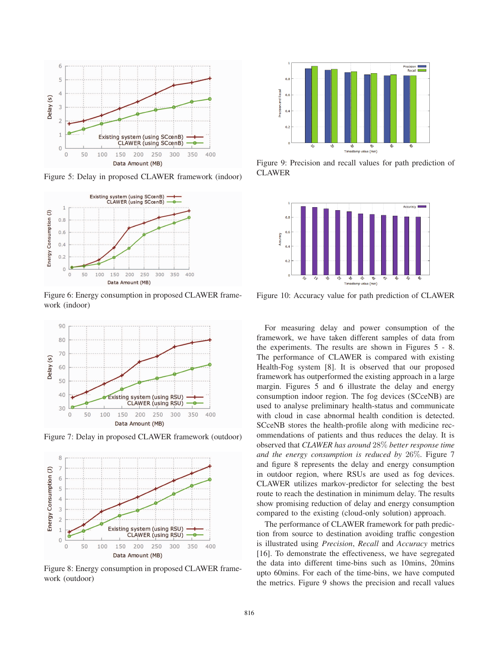

Figure 5: Delay in proposed CLAWER framework (indoor)



Figure 6: Energy consumption in proposed CLAWER framework (indoor)



Figure 7: Delay in proposed CLAWER framework (outdoor)



Figure 8: Energy consumption in proposed CLAWER framework (outdoor)



Figure 9: Precision and recall values for path prediction of CLAWER



Figure 10: Accuracy value for path prediction of CLAWER

For measuring delay and power consumption of the framework, we have taken different samples of data from the experiments. The results are shown in Figures 5 - 8. The performance of CLAWER is compared with existing Health-Fog system [8]. It is observed that our proposed framework has outperformed the existing approach in a large margin. Figures 5 and 6 illustrate the delay and energy consumption indoor region. The fog devices (SCceNB) are used to analyse preliminary health-status and communicate with cloud in case abnormal health condition is detected. SCceNB stores the health-profile along with medicine recommendations of patients and thus reduces the delay. It is observed that *CLAWER has around* 28% *better response time and the energy consumption is reduced by* 26%*.* Figure 7 and figure 8 represents the delay and energy consumption in outdoor region, where RSUs are used as fog devices. CLAWER utilizes markov-predictor for selecting the best route to reach the destination in minimum delay. The results show promising reduction of delay and energy consumption compared to the existing (cloud-only solution) approach.

The performance of CLAWER framework for path prediction from source to destination avoiding traffic congestion is illustrated using *Precision*, *Recall* and *Accuracy* metrics [16]. To demonstrate the effectiveness, we have segregated the data into different time-bins such as 10mins, 20mins upto 60mins. For each of the time-bins, we have computed the metrics. Figure 9 shows the precision and recall values